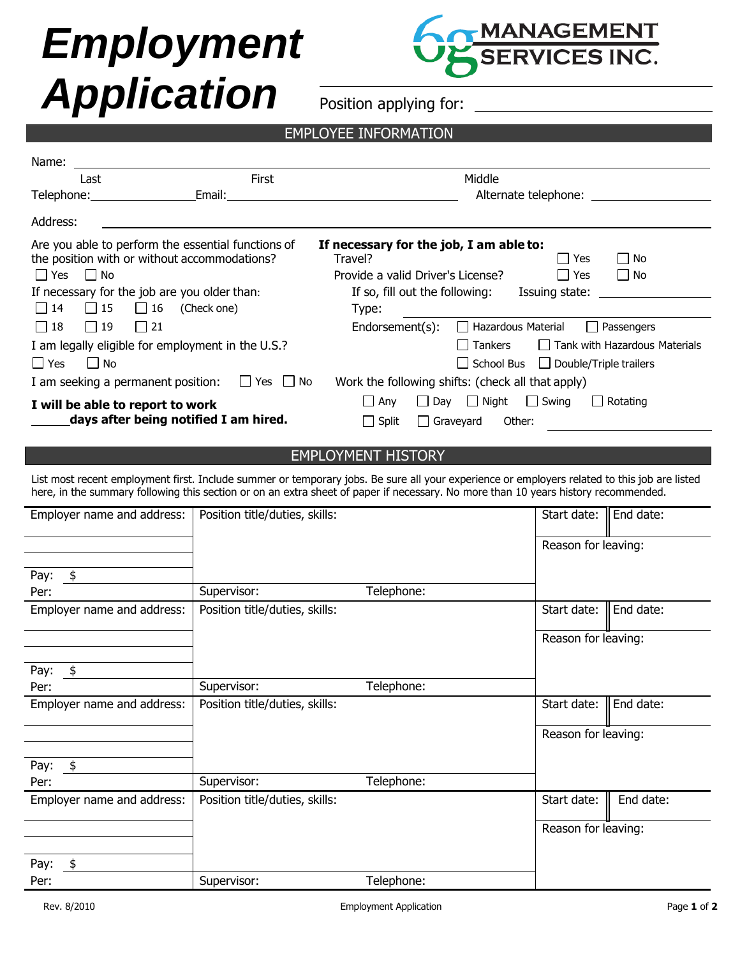## *Employment Application*

Name:



Position applying for:

## EMPLOYEE INFORMATION

| ivalite.                                                                                                                                                                                                                                                                           |                                |                                                                                                                                    |  |  |  |  |  |  |
|------------------------------------------------------------------------------------------------------------------------------------------------------------------------------------------------------------------------------------------------------------------------------------|--------------------------------|------------------------------------------------------------------------------------------------------------------------------------|--|--|--|--|--|--|
| Last                                                                                                                                                                                                                                                                               | First                          | Middle                                                                                                                             |  |  |  |  |  |  |
| Telephone: Email: Email: Email: Email: Email: Email: Email: Email: Email: Email: Email: Email: Email: Email: Email: Email: Email: Email: Email: Email: Email: Email: Email: Email: Email: Email: Email: Email: Email: Email: E                                                     |                                |                                                                                                                                    |  |  |  |  |  |  |
| Address:                                                                                                                                                                                                                                                                           |                                |                                                                                                                                    |  |  |  |  |  |  |
| Are you able to perform the essential functions of<br>the position with or without accommodations?<br>$\Box$ No<br>l l Yes                                                                                                                                                         |                                | If necessary for the job, I am able to:<br>$\Box$ No<br>Travel?<br>l Yes<br>Provide a valid Driver's License?<br>$\Box$ Yes<br>No. |  |  |  |  |  |  |
| If necessary for the job are you older than:<br>If so, fill out the following:<br>Issuing state:                                                                                                                                                                                   |                                |                                                                                                                                    |  |  |  |  |  |  |
| $\Box$ 15<br>$\Box$ 16 (Check one)<br>$\Box$ 14                                                                                                                                                                                                                                    |                                | Type:                                                                                                                              |  |  |  |  |  |  |
| $\Box$ 19<br>$\Box$ 21<br>$\Box$ 18                                                                                                                                                                                                                                                |                                | $\Box$ Hazardous Material<br>Passengers<br>Endorsement(s):                                                                         |  |  |  |  |  |  |
| I am legally eligible for employment in the U.S.?<br>$\Box$ Tank with Hazardous Materials<br>l Tankers                                                                                                                                                                             |                                |                                                                                                                                    |  |  |  |  |  |  |
| $\Box$ Yes<br>$\Box$ No                                                                                                                                                                                                                                                            |                                | $\Box$ School Bus $\Box$ Double/Triple trailers                                                                                    |  |  |  |  |  |  |
| Work the following shifts: (check all that apply)<br>I am seeking a permanent position: $\Box$ Yes $\Box$ No                                                                                                                                                                       |                                |                                                                                                                                    |  |  |  |  |  |  |
| I will be able to report to work<br>days after being notified I am hired.                                                                                                                                                                                                          |                                | $\Box$ Day $\Box$ Night $\Box$ Swing<br>$\Box$ Any<br>  Rotating<br>$\Box$ Split<br>$\Box$ Graveyard<br>Other:                     |  |  |  |  |  |  |
|                                                                                                                                                                                                                                                                                    |                                |                                                                                                                                    |  |  |  |  |  |  |
| <b>EMPLOYMENT HISTORY</b>                                                                                                                                                                                                                                                          |                                |                                                                                                                                    |  |  |  |  |  |  |
| List most recent employment first. Include summer or temporary jobs. Be sure all your experience or employers related to this job are listed<br>here, in the summary following this section or on an extra sheet of paper if necessary. No more than 10 years history recommended. |                                |                                                                                                                                    |  |  |  |  |  |  |
| Employer name and address:                                                                                                                                                                                                                                                         | Position title/duties, skills: | Start date:<br>End date:                                                                                                           |  |  |  |  |  |  |
|                                                                                                                                                                                                                                                                                    |                                | Doncon for lonving                                                                                                                 |  |  |  |  |  |  |

|                            |                                |            | Reason for leaving: |           |  |
|----------------------------|--------------------------------|------------|---------------------|-----------|--|
| Pay: $$$                   |                                |            |                     |           |  |
| Per:                       | Supervisor:                    | Telephone: |                     |           |  |
| Employer name and address: | Position title/duties, skills: |            | Start date:         | End date: |  |
|                            |                                |            | Reason for leaving: |           |  |
| Pay:<br>\$                 |                                |            |                     |           |  |
| Per:                       | Supervisor:                    | Telephone: |                     |           |  |
| Employer name and address: | Position title/duties, skills: |            | Start date:         | End date: |  |
|                            |                                |            | Reason for leaving: |           |  |
| Pay: $$$                   |                                |            |                     |           |  |
| Per:                       | Supervisor:                    | Telephone: |                     |           |  |
| Employer name and address: | Position title/duties, skills: |            | Start date:         | End date: |  |
|                            |                                |            | Reason for leaving: |           |  |
| Pay:<br>\$                 |                                |            |                     |           |  |
| Per:                       | Supervisor:                    | Telephone: |                     |           |  |